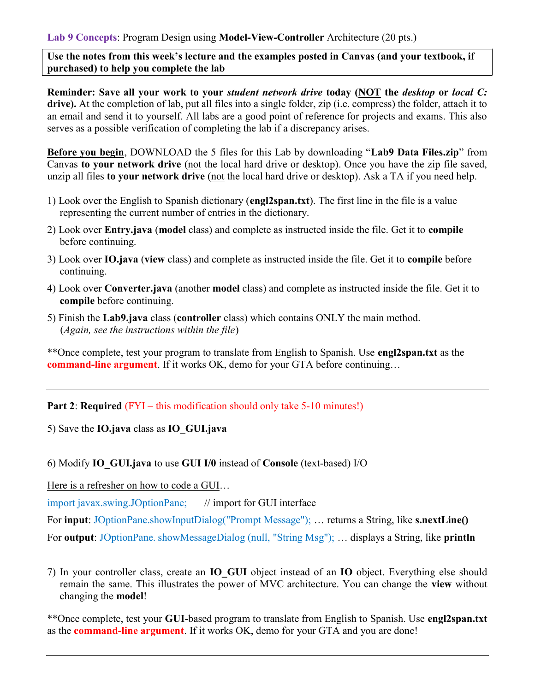Use the notes from this week's lecture and the examples posted in Canvas (and your textbook, if purchased) to help you complete the lab

Reminder: Save all your work to your student network drive today (NOT the desktop or local C: drive). At the completion of lab, put all files into a single folder, zip (i.e. compress) the folder, attach it to an email and send it to yourself. All labs are a good point of reference for projects and exams. This also serves as a possible verification of completing the lab if a discrepancy arises.

Before you begin, DOWNLOAD the 5 files for this Lab by downloading "Lab9 Data Files.zip" from Canvas to your network drive (not the local hard drive or desktop). Once you have the zip file saved, unzip all files to your network drive (not the local hard drive or desktop). Ask a TA if you need help.

- 1) Look over the English to Spanish dictionary (engl2span.txt). The first line in the file is a value representing the current number of entries in the dictionary.
- 2) Look over Entry.java (model class) and complete as instructed inside the file. Get it to compile before continuing.
- 3) Look over IO.java (view class) and complete as instructed inside the file. Get it to compile before continuing.
- 4) Look over Converter.java (another model class) and complete as instructed inside the file. Get it to compile before continuing.
- 5) Finish the Lab9.java class (controller class) which contains ONLY the main method. (Again, see the instructions within the file)

\*\*Once complete, test your program to translate from English to Spanish. Use engl2span.txt as the command-line argument. If it works OK, demo for your GTA before continuing…

Part 2: Required (FYI – this modification should only take 5-10 minutes!)

5) Save the IO.java class as IO\_GUI.java

6) Modify IO\_GUI.java to use GUI I/0 instead of Console (text-based) I/O

Here is a refresher on how to code a GUI…

import javax.swing.JOptionPane; // import for GUI interface

For input: JOptionPane.showInputDialog("Prompt Message"); ... returns a String, like s.nextLine()

For **output:** JOptionPane. showMessageDialog (null, "String Msg"); ... displays a String, like **println** 

7) In your controller class, create an IO GUI object instead of an IO object. Everything else should remain the same. This illustrates the power of MVC architecture. You can change the view without changing the model!

\*\*Once complete, test your GUI-based program to translate from English to Spanish. Use engl2span.txt as the command-line argument. If it works OK, demo for your GTA and you are done!